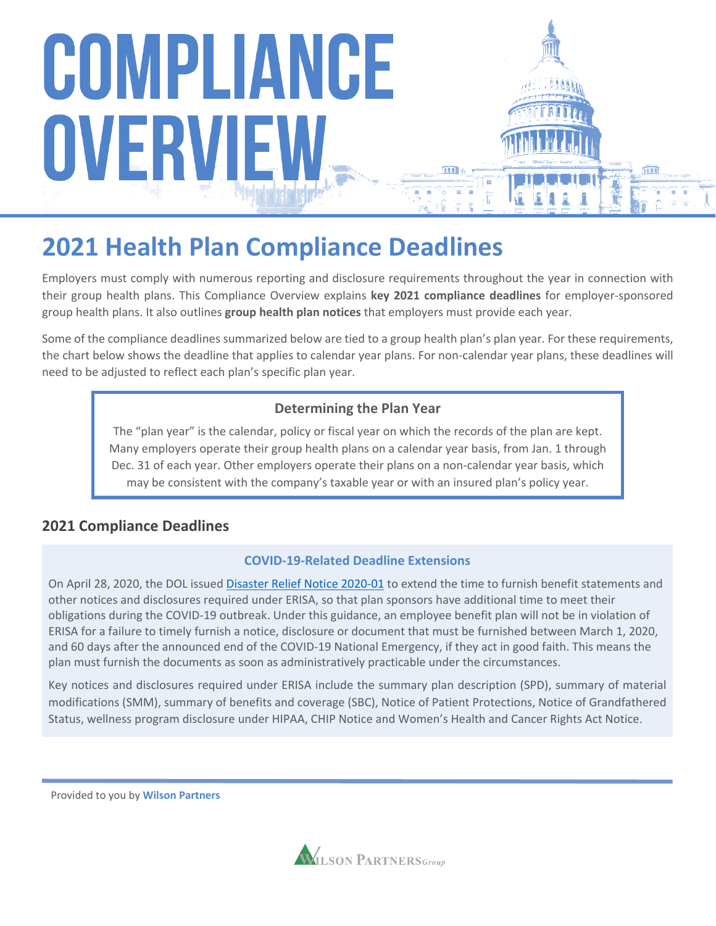

### **2021 Health Plan Compliance Deadlines**

Employers must comply with numerous reporting and disclosure requirements throughout the year in connection with their group health plans. This Compliance Overview explains **key 2021 compliance deadlines** for employer-sponsored group health plans. It also outlines **group health plan notices** that employers must provide each year.

Some of the compliance deadlines summarized below are tied to a group health plan's plan year. For these requirements, the chart below shows the deadline that applies to calendar year plans. For non-calendar year plans, these deadlines will need to be adjusted to reflect each plan's specific plan year.

#### **Determining the Plan Year**

The "plan year" is the calendar, policy or fiscal year on which the records of the plan are kept. Many employers operate their group health plans on a calendar year basis, from Jan. 1 through Dec. 31 of each year. Other employers operate their plans on a non-calendar year basis, which may be consistent with the company's taxable year or with an insured plan's policy year.

#### **2021 Compliance Deadlines**

#### **COVID-19-Related Deadline Extensions**

On April 28, 2020, the DOL issued [Disaster Relief Notice 2020-01](https://www.dol.gov/agencies/ebsa/employers-and-advisers/plan-administration-and-compliance/disaster-relief/ebsa-disaster-relief-notice-2020-01) to extend the time to furnish benefit statements and other notices and disclosures required under ERISA, so that plan sponsors have additional time to meet their obligations during the COVID-19 outbreak. Under this guidance, an employee benefit plan will not be in violation of ERISA for a failure to timely furnish a notice, disclosure or document that must be furnished between March 1, 2020, and 60 days after the announced end of the COVID-19 National Emergency, if they act in good faith. This means the plan must furnish the documents as soon as administratively practicable under the circumstances.

Key notices and disclosures required under ERISA include the summary plan description (SPD), summary of material modifications (SMM), summary of benefits and coverage (SBC), Notice of Patient Protections, Notice of Grandfathered Status, wellness program disclosure under HIPAA, CHIP Notice and Women's Health and Cancer Rights Act Notice.

Provided to you by **Wilson Partners**

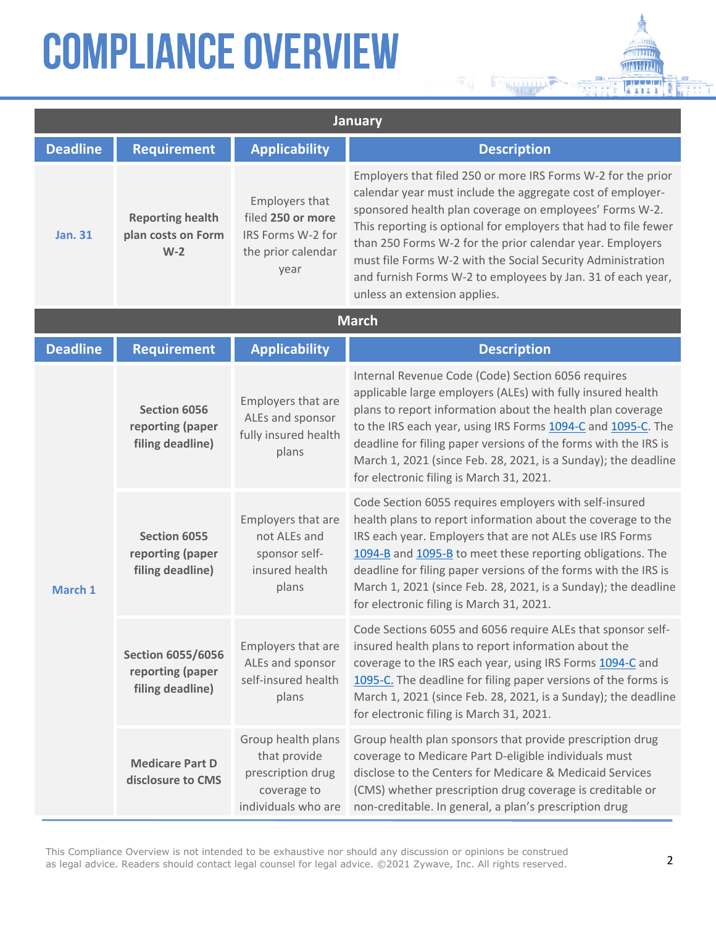| January         |                                                                  |                                                                                               |                                                                                                                                                                                                                                                                                                                                                                                                                                                                                     |
|-----------------|------------------------------------------------------------------|-----------------------------------------------------------------------------------------------|-------------------------------------------------------------------------------------------------------------------------------------------------------------------------------------------------------------------------------------------------------------------------------------------------------------------------------------------------------------------------------------------------------------------------------------------------------------------------------------|
| <b>Deadline</b> | <b>Requirement</b>                                               | <b>Applicability</b>                                                                          | <b>Description</b>                                                                                                                                                                                                                                                                                                                                                                                                                                                                  |
| <b>Jan. 31</b>  | <b>Reporting health</b><br>plan costs on Form<br>$W-2$           | Employers that<br>filed 250 or more<br>IRS Forms W-2 for<br>the prior calendar<br>year        | Employers that filed 250 or more IRS Forms W-2 for the prior<br>calendar year must include the aggregate cost of employer-<br>sponsored health plan coverage on employees' Forms W-2.<br>This reporting is optional for employers that had to file fewer<br>than 250 Forms W-2 for the prior calendar year. Employers<br>must file Forms W-2 with the Social Security Administration<br>and furnish Forms W-2 to employees by Jan. 31 of each year,<br>unless an extension applies. |
|                 |                                                                  |                                                                                               | <b>March</b>                                                                                                                                                                                                                                                                                                                                                                                                                                                                        |
| <b>Deadline</b> | <b>Requirement</b>                                               | <b>Applicability</b>                                                                          | <b>Description</b>                                                                                                                                                                                                                                                                                                                                                                                                                                                                  |
|                 | Section 6056<br>reporting (paper<br>filing deadline)             | Employers that are<br>ALEs and sponsor<br>fully insured health<br>plans                       | Internal Revenue Code (Code) Section 6056 requires<br>applicable large employers (ALEs) with fully insured health<br>plans to report information about the health plan coverage<br>to the IRS each year, using IRS Forms 1094-C and 1095-C. The<br>deadline for filing paper versions of the forms with the IRS is<br>March 1, 2021 (since Feb. 28, 2021, is a Sunday); the deadline<br>for electronic filing is March 31, 2021.                                                    |
| March 1         | <b>Section 6055</b><br>reporting (paper<br>filing deadline)      | Employers that are<br>not ALEs and<br>sponsor self-<br>insured health<br>plans                | Code Section 6055 requires employers with self-insured<br>health plans to report information about the coverage to the<br>IRS each year. Employers that are not ALEs use IRS Forms<br>1094-B and 1095-B to meet these reporting obligations. The<br>deadline for filing paper versions of the forms with the IRS is<br>March 1, 2021 (since Feb. 28, 2021, is a Sunday); the deadline<br>for electronic filing is March 31, 2021.                                                   |
|                 | <b>Section 6055/6056</b><br>reporting (paper<br>filing deadline) | Employers that are<br>ALEs and sponsor<br>self-insured health<br>plans                        | Code Sections 6055 and 6056 require ALEs that sponsor self-<br>insured health plans to report information about the<br>coverage to the IRS each year, using IRS Forms 1094-C and<br>1095-C. The deadline for filing paper versions of the forms is<br>March 1, 2021 (since Feb. 28, 2021, is a Sunday); the deadline<br>for electronic filing is March 31, 2021.                                                                                                                    |
|                 | <b>Medicare Part D</b><br>disclosure to CMS                      | Group health plans<br>that provide<br>prescription drug<br>coverage to<br>individuals who are | Group health plan sponsors that provide prescription drug<br>coverage to Medicare Part D-eligible individuals must<br>disclose to the Centers for Medicare & Medicaid Services<br>(CMS) whether prescription drug coverage is creditable or<br>non-creditable. In general, a plan's prescription drug                                                                                                                                                                               |

Nelsleideland J.

n ma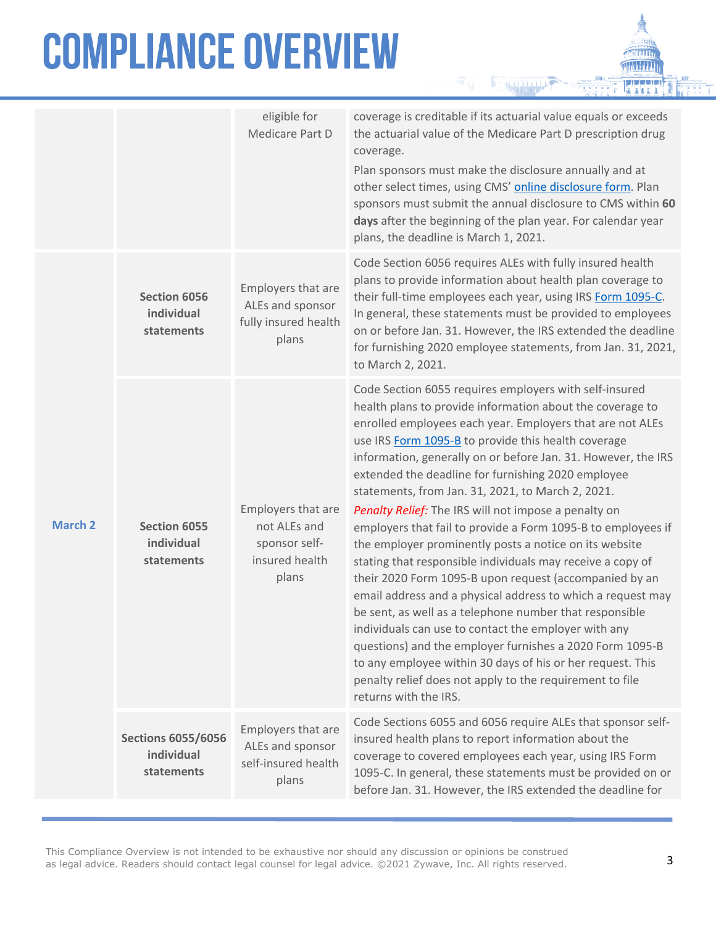|                |                                                       | eligible for<br>Medicare Part D                                                | coverage is creditable if its actuarial value equals or exceeds<br>the actuarial value of the Medicare Part D prescription drug<br>coverage.<br>Plan sponsors must make the disclosure annually and at<br>other select times, using CMS' online disclosure form. Plan<br>sponsors must submit the annual disclosure to CMS within 60<br>days after the beginning of the plan year. For calendar year<br>plans, the deadline is March 1, 2021.                                                                                                                                                                                                                                                                                                                                                                                                                                                                                                                                                                                                                                                                                  |
|----------------|-------------------------------------------------------|--------------------------------------------------------------------------------|--------------------------------------------------------------------------------------------------------------------------------------------------------------------------------------------------------------------------------------------------------------------------------------------------------------------------------------------------------------------------------------------------------------------------------------------------------------------------------------------------------------------------------------------------------------------------------------------------------------------------------------------------------------------------------------------------------------------------------------------------------------------------------------------------------------------------------------------------------------------------------------------------------------------------------------------------------------------------------------------------------------------------------------------------------------------------------------------------------------------------------|
|                | Section 6056<br>individual<br>statements              | Employers that are<br>ALEs and sponsor<br>fully insured health<br>plans        | Code Section 6056 requires ALEs with fully insured health<br>plans to provide information about health plan coverage to<br>their full-time employees each year, using IRS Form 1095-C.<br>In general, these statements must be provided to employees<br>on or before Jan. 31. However, the IRS extended the deadline<br>for furnishing 2020 employee statements, from Jan. 31, 2021,<br>to March 2, 2021.                                                                                                                                                                                                                                                                                                                                                                                                                                                                                                                                                                                                                                                                                                                      |
| <b>March 2</b> | Section 6055<br>individual<br>statements              | Employers that are<br>not ALEs and<br>sponsor self-<br>insured health<br>plans | Code Section 6055 requires employers with self-insured<br>health plans to provide information about the coverage to<br>enrolled employees each year. Employers that are not ALEs<br>use IRS Form 1095-B to provide this health coverage<br>information, generally on or before Jan. 31. However, the IRS<br>extended the deadline for furnishing 2020 employee<br>statements, from Jan. 31, 2021, to March 2, 2021.<br>Penalty Relief: The IRS will not impose a penalty on<br>employers that fail to provide a Form 1095-B to employees if<br>the employer prominently posts a notice on its website<br>stating that responsible individuals may receive a copy of<br>their 2020 Form 1095-B upon request (accompanied by an<br>email address and a physical address to which a request may<br>be sent, as well as a telephone number that responsible<br>individuals can use to contact the employer with any<br>questions) and the employer furnishes a 2020 Form 1095-B<br>to any employee within 30 days of his or her request. This<br>penalty relief does not apply to the requirement to file<br>returns with the IRS. |
|                | <b>Sections 6055/6056</b><br>individual<br>statements | Employers that are<br>ALEs and sponsor<br>self-insured health<br>plans         | Code Sections 6055 and 6056 require ALEs that sponsor self-<br>insured health plans to report information about the<br>coverage to covered employees each year, using IRS Form<br>1095-C. In general, these statements must be provided on or<br>before Jan. 31. However, the IRS extended the deadline for                                                                                                                                                                                                                                                                                                                                                                                                                                                                                                                                                                                                                                                                                                                                                                                                                    |

**Nelalalalalalala** 

÷,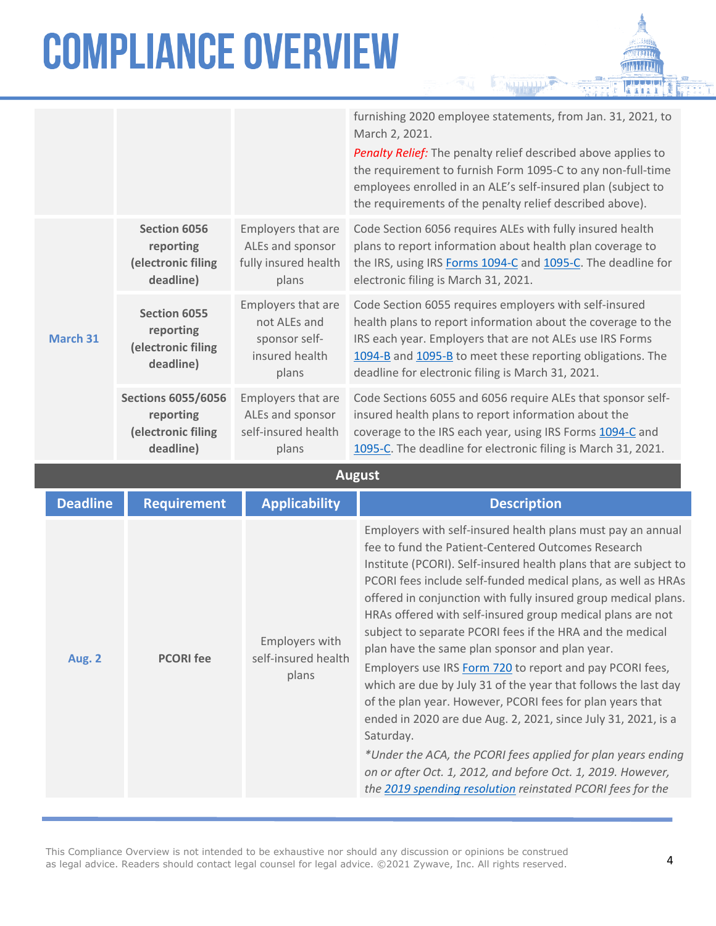**March 31**

|          |                                                                           |                                                                                | furnishing 2020 employee statements, from Jan. 31, 2021, to<br>March 2, 2021.                                                                                                                                                                                                                         |
|----------|---------------------------------------------------------------------------|--------------------------------------------------------------------------------|-------------------------------------------------------------------------------------------------------------------------------------------------------------------------------------------------------------------------------------------------------------------------------------------------------|
|          |                                                                           |                                                                                | <b>Penalty Relief:</b> The penalty relief described above applies to<br>the requirement to furnish Form 1095-C to any non-full-time<br>employees enrolled in an ALE's self-insured plan (subject to<br>the requirements of the penalty relief described above).                                       |
| larch 31 | Section 6056<br>reporting<br>(electronic filing<br>deadline)              | Employers that are<br>ALEs and sponsor<br>fully insured health<br>plans        | Code Section 6056 requires ALEs with fully insured health<br>plans to report information about health plan coverage to<br>the IRS, using IRS Forms 1094-C and 1095-C. The deadline for<br>electronic filing is March 31, 2021.                                                                        |
|          | Section 6055<br>reporting<br>(electronic filing<br>deadline)              | Employers that are<br>not ALEs and<br>sponsor self-<br>insured health<br>plans | Code Section 6055 requires employers with self-insured<br>health plans to report information about the coverage to the<br>IRS each year. Employers that are not ALEs use IRS Forms<br>1094-B and 1095-B to meet these reporting obligations. The<br>deadline for electronic filing is March 31, 2021. |
|          | <b>Sections 6055/6056</b><br>reporting<br>(electronic filing<br>deadline) | Employers that are<br>ALEs and sponsor<br>self-insured health<br>plans         | Code Sections 6055 and 6056 require ALEs that sponsor self-<br>insured health plans to report information about the<br>coverage to the IRS each year, using IRS Forms 1094-C and<br>1095-C. The deadline for electronic filing is March 31, 2021.                                                     |

**August**

| <b>Deadline</b> | <b>Requirement</b> | <b>Applicability</b>                           | <b>Description</b>                                                                                                                                                                                                                                                                                                                                                                                                                                                                                                                                                                                                                                                                                                                                                                                                                                                                                                                                                          |
|-----------------|--------------------|------------------------------------------------|-----------------------------------------------------------------------------------------------------------------------------------------------------------------------------------------------------------------------------------------------------------------------------------------------------------------------------------------------------------------------------------------------------------------------------------------------------------------------------------------------------------------------------------------------------------------------------------------------------------------------------------------------------------------------------------------------------------------------------------------------------------------------------------------------------------------------------------------------------------------------------------------------------------------------------------------------------------------------------|
| Aug. 2          | <b>PCORI</b> fee   | Employers with<br>self-insured health<br>plans | Employers with self-insured health plans must pay an annual<br>fee to fund the Patient-Centered Outcomes Research<br>Institute (PCORI). Self-insured health plans that are subject to<br>PCORI fees include self-funded medical plans, as well as HRAs<br>offered in conjunction with fully insured group medical plans.<br>HRAs offered with self-insured group medical plans are not<br>subject to separate PCORI fees if the HRA and the medical<br>plan have the same plan sponsor and plan year.<br>Employers use IRS Form 720 to report and pay PCORI fees,<br>which are due by July 31 of the year that follows the last day<br>of the plan year. However, PCORI fees for plan years that<br>ended in 2020 are due Aug. 2, 2021, since July 31, 2021, is a<br>Saturday.<br>*Under the ACA, the PCORI fees applied for plan years ending<br>on or after Oct. 1, 2012, and before Oct. 1, 2019. However,<br>the 2019 spending resolution reinstated PCORI fees for the |

This Compliance Overview is not intended to be exhaustive nor should any discussion or opinions be construed as legal advice. Readers should contact legal counsel for legal advice. ©2021 Zywave, Inc. All rights reserved.

n ma  $\mathbf{B}$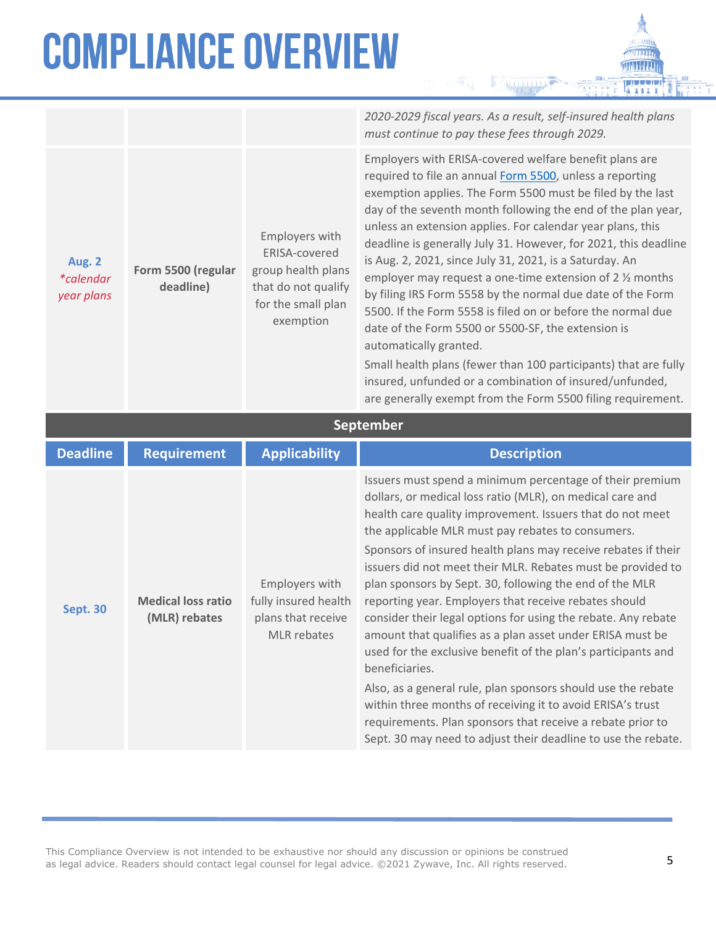*2020-2029 fiscal years. As a result, self-insured health plans must continue to pay these fees through 2029.*

**Aug. 2** *\*calendar year plans* **Form 5500 (regular deadline)** Employers with ERISA-covered group health plans that do not qualify for the small plan exemption Employers with ERISA-covered welfare benefit plans are required to file an annual [Form 5500,](https://www.dol.gov/agencies/ebsa/employers-and-advisers/plan-administration-and-compliance/reporting-and-filing/form-5500) unless a reporting exemption applies. The Form 5500 must be filed by the last day of the seventh month following the end of the plan year, unless an extension applies. For calendar year plans, this deadline is generally July 31. However, for 2021, this deadline is Aug. 2, 2021, since July 31, 2021, is a Saturday. An employer may request a one-time extension of 2 ½ months by filing IRS Form 5558 by the normal due date of the Form 5500. If the Form 5558 is filed on or before the normal due date of the Form 5500 or 5500-SF, the extension is automatically granted. Small health plans (fewer than 100 participants) that are fully insured, unfunded or a combination of insured/unfunded, are generally exempt from the Form 5500 filing requirement. **September Deadline Requirement Applicability Description Sept. 30 Medical loss ratio (MLR) rebates** Employers with fully insured health plans that receive MLR rebates Issuers must spend a minimum percentage of their premium dollars, or medical loss ratio (MLR), on medical care and health care quality improvement. Issuers that do not meet the applicable MLR must pay rebates to consumers. Sponsors of insured health plans may receive rebates if their issuers did not meet their MLR. Rebates must be provided to plan sponsors by Sept. 30, following the end of the MLR reporting year. Employers that receive rebates should consider their legal options for using the rebate. Any rebate amount that qualifies as a plan asset under ERISA must be used for the exclusive benefit of the plan's participants and beneficiaries. Also, as a general rule, plan sponsors should use the rebate

within three months of receiving it to avoid ERISA's trust requirements. Plan sponsors that receive a rebate prior to Sept. 30 may need to adjust their deadline to use the rebate.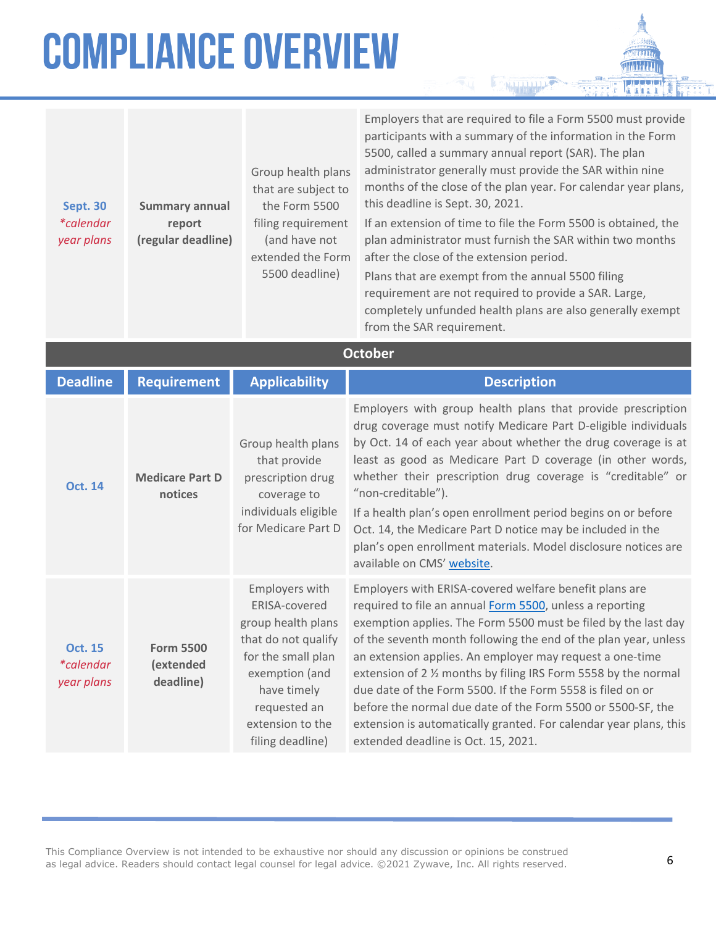| Summary annual     |
|--------------------|
| report             |
| (regular deadline) |
|                    |

Group health plans that are subject to the Form 5500 filing requirement (and have not extended the Form 5500 deadline)

Employers that are required to file a Form 5500 must provide participants with a summary of the information in the Form 5500, called a summary annual report (SAR). The plan administrator generally must provide the SAR within nine months of the close of the plan year. For calendar year plans, this deadline is Sept. 30, 2021.

If an extension of time to file the Form 5500 is obtained, the plan administrator must furnish the SAR within two months after the close of the extension period.

Plans that are exempt from the annual 5500 filing requirement are not required to provide a SAR. Large, completely unfunded health plans are also generally exempt from the SAR requirement.

| <b>October</b>                                   |                                            |                                                                                                                                                                                             |                                                                                                                                                                                                                                                                                                                                                                                                                                                                                                                                                                                                                               |  |
|--------------------------------------------------|--------------------------------------------|---------------------------------------------------------------------------------------------------------------------------------------------------------------------------------------------|-------------------------------------------------------------------------------------------------------------------------------------------------------------------------------------------------------------------------------------------------------------------------------------------------------------------------------------------------------------------------------------------------------------------------------------------------------------------------------------------------------------------------------------------------------------------------------------------------------------------------------|--|
| <b>Deadline</b>                                  | <b>Requirement</b>                         | <b>Applicability</b>                                                                                                                                                                        | <b>Description</b>                                                                                                                                                                                                                                                                                                                                                                                                                                                                                                                                                                                                            |  |
| <b>Oct. 14</b>                                   | <b>Medicare Part D</b><br>notices          | Group health plans<br>that provide<br>prescription drug<br>coverage to<br>individuals eligible<br>for Medicare Part D                                                                       | Employers with group health plans that provide prescription<br>drug coverage must notify Medicare Part D-eligible individuals<br>by Oct. 14 of each year about whether the drug coverage is at<br>least as good as Medicare Part D coverage (in other words,<br>whether their prescription drug coverage is "creditable" or<br>"non-creditable").<br>If a health plan's open enrollment period begins on or before<br>Oct. 14, the Medicare Part D notice may be included in the<br>plan's open enrollment materials. Model disclosure notices are<br>available on CMS' website.                                              |  |
| <b>Oct. 15</b><br><i>*calendar</i><br>year plans | <b>Form 5500</b><br>(extended<br>deadline) | Employers with<br>ERISA-covered<br>group health plans<br>that do not qualify<br>for the small plan<br>exemption (and<br>have timely<br>requested an<br>extension to the<br>filing deadline) | Employers with ERISA-covered welfare benefit plans are<br>required to file an annual Form 5500, unless a reporting<br>exemption applies. The Form 5500 must be filed by the last day<br>of the seventh month following the end of the plan year, unless<br>an extension applies. An employer may request a one-time<br>extension of 2 % months by filing IRS Form 5558 by the normal<br>due date of the Form 5500. If the Form 5558 is filed on or<br>before the normal due date of the Form 5500 or 5500-SF, the<br>extension is automatically granted. For calendar year plans, this<br>extended deadline is Oct. 15, 2021. |  |

This Compliance Overview is not intended to be exhaustive nor should any discussion or opinions be construed as legal advice. Readers should contact legal counsel for legal advice. ©2021 Zywave, Inc. All rights reserved.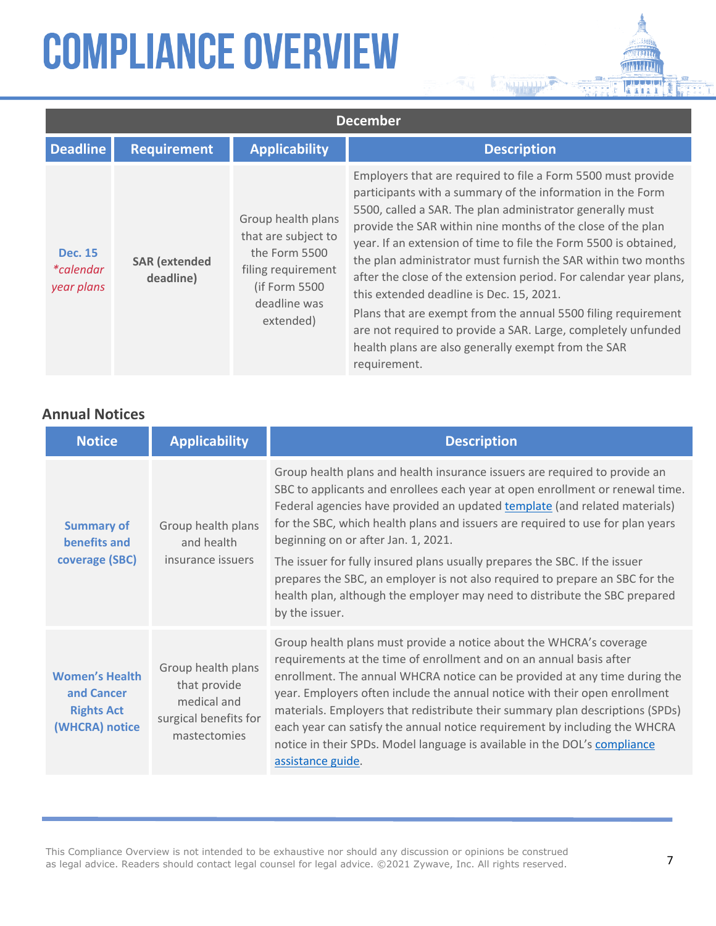| <b>December</b>                                  |                                   |                                                                                                                                |                                                                                                                                                                                                                                                                                                                                                                                                                                                                                                                                                                                                                                                                                                                       |
|--------------------------------------------------|-----------------------------------|--------------------------------------------------------------------------------------------------------------------------------|-----------------------------------------------------------------------------------------------------------------------------------------------------------------------------------------------------------------------------------------------------------------------------------------------------------------------------------------------------------------------------------------------------------------------------------------------------------------------------------------------------------------------------------------------------------------------------------------------------------------------------------------------------------------------------------------------------------------------|
| <b>Deadline</b>                                  | <b>Requirement</b>                | <b>Applicability</b>                                                                                                           | <b>Description</b>                                                                                                                                                                                                                                                                                                                                                                                                                                                                                                                                                                                                                                                                                                    |
| <b>Dec. 15</b><br><i>*calendar</i><br>year plans | <b>SAR</b> (extended<br>deadline) | Group health plans<br>that are subject to<br>the Form 5500<br>filing requirement<br>(if Form 5500<br>deadline was<br>extended) | Employers that are required to file a Form 5500 must provide<br>participants with a summary of the information in the Form<br>5500, called a SAR. The plan administrator generally must<br>provide the SAR within nine months of the close of the plan<br>year. If an extension of time to file the Form 5500 is obtained,<br>the plan administrator must furnish the SAR within two months<br>after the close of the extension period. For calendar year plans,<br>this extended deadline is Dec. 15, 2021.<br>Plans that are exempt from the annual 5500 filing requirement<br>are not required to provide a SAR. Large, completely unfunded<br>health plans are also generally exempt from the SAR<br>requirement. |

**BOOM MANAGEMENT PROPERTY** 

#### **Annual Notices**

| <b>Notice</b>                                                              | <b>Applicability</b>                                                                       | <b>Description</b>                                                                                                                                                                                                                                                                                                                                                                                                                                                                                                                                                                                                               |
|----------------------------------------------------------------------------|--------------------------------------------------------------------------------------------|----------------------------------------------------------------------------------------------------------------------------------------------------------------------------------------------------------------------------------------------------------------------------------------------------------------------------------------------------------------------------------------------------------------------------------------------------------------------------------------------------------------------------------------------------------------------------------------------------------------------------------|
| <b>Summary of</b><br>benefits and<br>coverage (SBC)                        | Group health plans<br>and health<br>insurance issuers                                      | Group health plans and health insurance issuers are required to provide an<br>SBC to applicants and enrollees each year at open enrollment or renewal time.<br>Federal agencies have provided an updated template (and related materials)<br>for the SBC, which health plans and issuers are required to use for plan years<br>beginning on or after Jan. 1, 2021.<br>The issuer for fully insured plans usually prepares the SBC. If the issuer<br>prepares the SBC, an employer is not also required to prepare an SBC for the<br>health plan, although the employer may need to distribute the SBC prepared<br>by the issuer. |
| <b>Women's Health</b><br>and Cancer<br><b>Rights Act</b><br>(WHCRA) notice | Group health plans<br>that provide<br>medical and<br>surgical benefits for<br>mastectomies | Group health plans must provide a notice about the WHCRA's coverage<br>requirements at the time of enrollment and on an annual basis after<br>enrollment. The annual WHCRA notice can be provided at any time during the<br>year. Employers often include the annual notice with their open enrollment<br>materials. Employers that redistribute their summary plan descriptions (SPDs)<br>each year can satisfy the annual notice requirement by including the WHCRA<br>notice in their SPDs. Model language is available in the DOL's compliance<br>assistance guide.                                                          |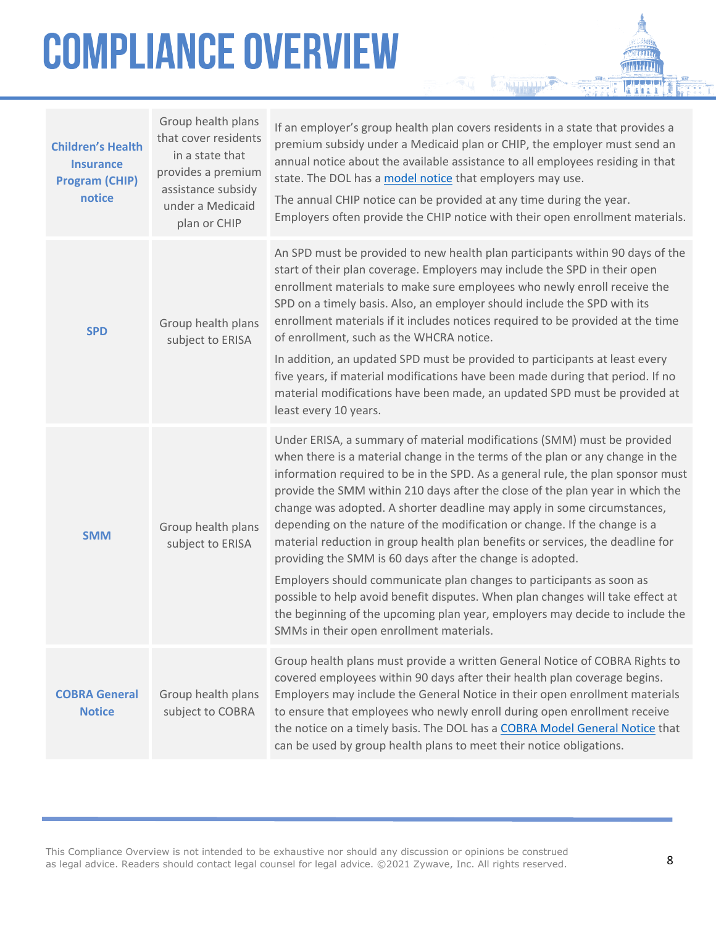| <b>Children's Health</b><br><b>Insurance</b><br><b>Program (CHIP)</b><br>notice | Group health plans<br>that cover residents<br>in a state that<br>provides a premium<br>assistance subsidy<br>under a Medicaid<br>plan or CHIP | If an employer's group health plan covers residents in a state that provides a<br>premium subsidy under a Medicaid plan or CHIP, the employer must send an<br>annual notice about the available assistance to all employees residing in that<br>state. The DOL has a model notice that employers may use.<br>The annual CHIP notice can be provided at any time during the year.<br>Employers often provide the CHIP notice with their open enrollment materials.                                                                                                                                                                                                                                                                                                                                                                                                                                                         |
|---------------------------------------------------------------------------------|-----------------------------------------------------------------------------------------------------------------------------------------------|---------------------------------------------------------------------------------------------------------------------------------------------------------------------------------------------------------------------------------------------------------------------------------------------------------------------------------------------------------------------------------------------------------------------------------------------------------------------------------------------------------------------------------------------------------------------------------------------------------------------------------------------------------------------------------------------------------------------------------------------------------------------------------------------------------------------------------------------------------------------------------------------------------------------------|
| <b>SPD</b>                                                                      | Group health plans<br>subject to ERISA                                                                                                        | An SPD must be provided to new health plan participants within 90 days of the<br>start of their plan coverage. Employers may include the SPD in their open<br>enrollment materials to make sure employees who newly enroll receive the<br>SPD on a timely basis. Also, an employer should include the SPD with its<br>enrollment materials if it includes notices required to be provided at the time<br>of enrollment, such as the WHCRA notice.<br>In addition, an updated SPD must be provided to participants at least every<br>five years, if material modifications have been made during that period. If no<br>material modifications have been made, an updated SPD must be provided at<br>least every 10 years.                                                                                                                                                                                                  |
| <b>SMM</b>                                                                      | Group health plans<br>subject to ERISA                                                                                                        | Under ERISA, a summary of material modifications (SMM) must be provided<br>when there is a material change in the terms of the plan or any change in the<br>information required to be in the SPD. As a general rule, the plan sponsor must<br>provide the SMM within 210 days after the close of the plan year in which the<br>change was adopted. A shorter deadline may apply in some circumstances,<br>depending on the nature of the modification or change. If the change is a<br>material reduction in group health plan benefits or services, the deadline for<br>providing the SMM is 60 days after the change is adopted.<br>Employers should communicate plan changes to participants as soon as<br>possible to help avoid benefit disputes. When plan changes will take effect at<br>the beginning of the upcoming plan year, employers may decide to include the<br>SMMs in their open enrollment materials. |
| <b>COBRA General</b><br><b>Notice</b>                                           | Group health plans<br>subject to COBRA                                                                                                        | Group health plans must provide a written General Notice of COBRA Rights to<br>covered employees within 90 days after their health plan coverage begins.<br>Employers may include the General Notice in their open enrollment materials<br>to ensure that employees who newly enroll during open enrollment receive<br>the notice on a timely basis. The DOL has a COBRA Model General Notice that<br>can be used by group health plans to meet their notice obligations.                                                                                                                                                                                                                                                                                                                                                                                                                                                 |
|                                                                                 |                                                                                                                                               |                                                                                                                                                                                                                                                                                                                                                                                                                                                                                                                                                                                                                                                                                                                                                                                                                                                                                                                           |

a matan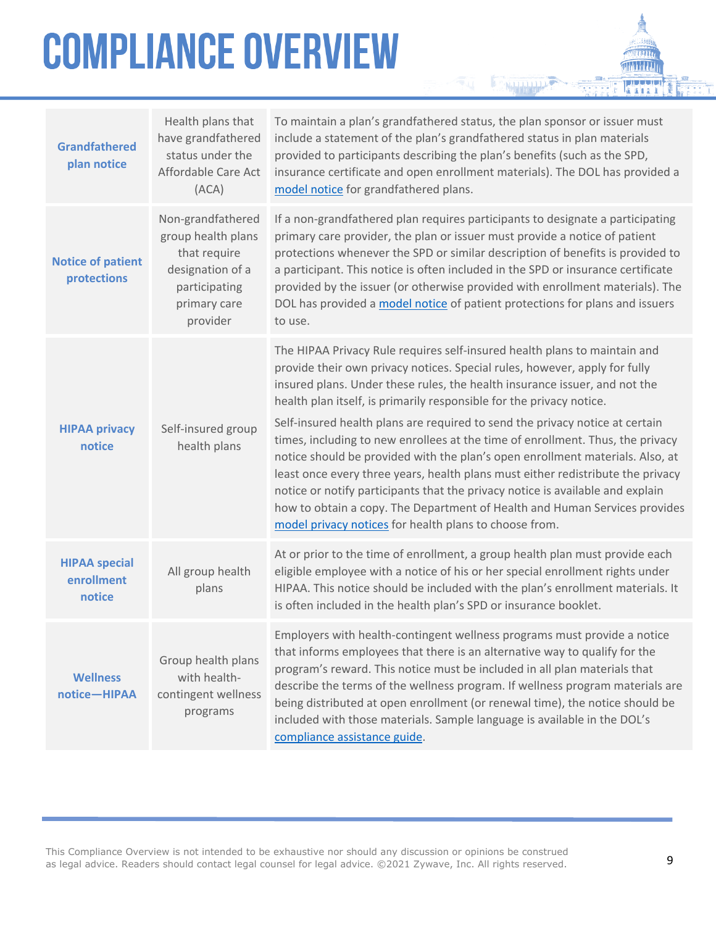| <b>Grandfathered</b><br>plan notice          | Health plans that<br>have grandfathered<br>status under the<br>Affordable Care Act<br>(ACA)                              | To maintain a plan's grandfathered status, the plan sponsor or issuer must<br>include a statement of the plan's grandfathered status in plan materials<br>provided to participants describing the plan's benefits (such as the SPD,<br>insurance certificate and open enrollment materials). The DOL has provided a<br>model notice for grandfathered plans.                                                                                                                                                                                                                                                                                                                                                                                                                                                                                                                  |
|----------------------------------------------|--------------------------------------------------------------------------------------------------------------------------|-------------------------------------------------------------------------------------------------------------------------------------------------------------------------------------------------------------------------------------------------------------------------------------------------------------------------------------------------------------------------------------------------------------------------------------------------------------------------------------------------------------------------------------------------------------------------------------------------------------------------------------------------------------------------------------------------------------------------------------------------------------------------------------------------------------------------------------------------------------------------------|
| <b>Notice of patient</b><br>protections      | Non-grandfathered<br>group health plans<br>that require<br>designation of a<br>participating<br>primary care<br>provider | If a non-grandfathered plan requires participants to designate a participating<br>primary care provider, the plan or issuer must provide a notice of patient<br>protections whenever the SPD or similar description of benefits is provided to<br>a participant. This notice is often included in the SPD or insurance certificate<br>provided by the issuer (or otherwise provided with enrollment materials). The<br>DOL has provided a model notice of patient protections for plans and issuers<br>to use.                                                                                                                                                                                                                                                                                                                                                                |
| <b>HIPAA privacy</b><br>notice               | Self-insured group<br>health plans                                                                                       | The HIPAA Privacy Rule requires self-insured health plans to maintain and<br>provide their own privacy notices. Special rules, however, apply for fully<br>insured plans. Under these rules, the health insurance issuer, and not the<br>health plan itself, is primarily responsible for the privacy notice.<br>Self-insured health plans are required to send the privacy notice at certain<br>times, including to new enrollees at the time of enrollment. Thus, the privacy<br>notice should be provided with the plan's open enrollment materials. Also, at<br>least once every three years, health plans must either redistribute the privacy<br>notice or notify participants that the privacy notice is available and explain<br>how to obtain a copy. The Department of Health and Human Services provides<br>model privacy notices for health plans to choose from. |
| <b>HIPAA special</b><br>enrollment<br>notice | All group health<br>plans                                                                                                | At or prior to the time of enrollment, a group health plan must provide each<br>eligible employee with a notice of his or her special enrollment rights under<br>HIPAA. This notice should be included with the plan's enrollment materials. It<br>is often included in the health plan's SPD or insurance booklet.                                                                                                                                                                                                                                                                                                                                                                                                                                                                                                                                                           |
| <b>Wellness</b><br>notice-HIPAA              | Group health plans<br>with health-<br>contingent wellness<br>programs                                                    | Employers with health-contingent wellness programs must provide a notice<br>that informs employees that there is an alternative way to qualify for the<br>program's reward. This notice must be included in all plan materials that<br>describe the terms of the wellness program. If wellness program materials are<br>being distributed at open enrollment (or renewal time), the notice should be<br>included with those materials. Sample language is available in the DOL's<br>compliance assistance guide.                                                                                                                                                                                                                                                                                                                                                              |

**NAME AND POST**